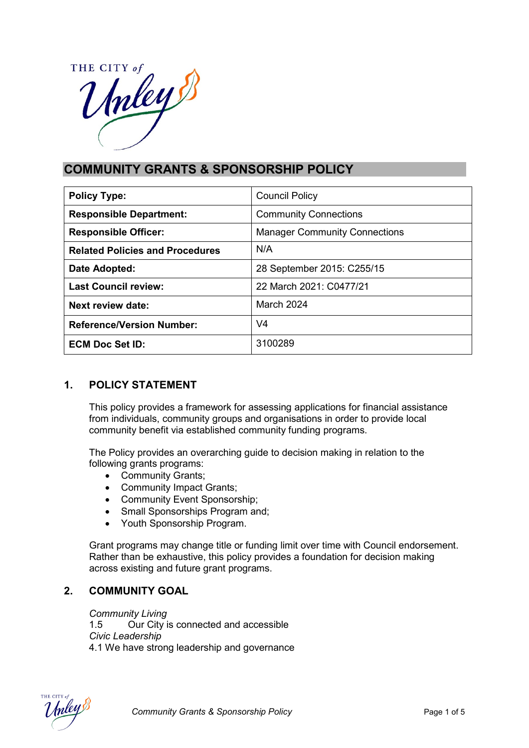

# **COMMUNITY GRANTS & SPONSORSHIP POLICY**

| <b>Policy Type:</b>                    | <b>Council Policy</b>                |  |
|----------------------------------------|--------------------------------------|--|
| <b>Responsible Department:</b>         | <b>Community Connections</b>         |  |
| <b>Responsible Officer:</b>            | <b>Manager Community Connections</b> |  |
| <b>Related Policies and Procedures</b> | N/A                                  |  |
| Date Adopted:                          | 28 September 2015: C255/15           |  |
| <b>Last Council review:</b>            | 22 March 2021: C0477/21              |  |
| Next review date:                      | March 2024                           |  |
| <b>Reference/Version Number:</b>       | V4                                   |  |
| <b>ECM Doc Set ID:</b>                 | 3100289                              |  |

# **1. POLICY STATEMENT**

This policy provides a framework for assessing applications for financial assistance from individuals, community groups and organisations in order to provide local community benefit via established community funding programs.

The Policy provides an overarching guide to decision making in relation to the following grants programs:

- Community Grants;
- Community Impact Grants;
- Community Event Sponsorship;
- Small Sponsorships Program and;
- Youth Sponsorship Program.

Grant programs may change title or funding limit over time with Council endorsement. Rather than be exhaustive, this policy provides a foundation for decision making across existing and future grant programs.

# **2. COMMUNITY GOAL**

#### *Community Living*

1.5 Our City is connected and accessible *Civic Leadership* 4.1 We have strong leadership and governance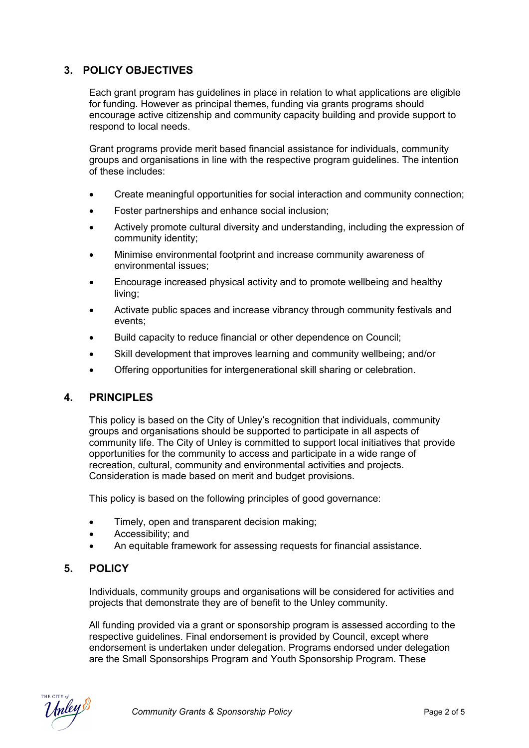## **3. POLICY OBJECTIVES**

Each grant program has guidelines in place in relation to what applications are eligible for funding. However as principal themes, funding via grants programs should encourage active citizenship and community capacity building and provide support to respond to local needs.

Grant programs provide merit based financial assistance for individuals, community groups and organisations in line with the respective program guidelines. The intention of these includes:

- Create meaningful opportunities for social interaction and community connection;
- Foster partnerships and enhance social inclusion;
- Actively promote cultural diversity and understanding, including the expression of community identity;
- Minimise environmental footprint and increase community awareness of environmental issues;
- Encourage increased physical activity and to promote wellbeing and healthy living;
- Activate public spaces and increase vibrancy through community festivals and events;
- Build capacity to reduce financial or other dependence on Council;
- Skill development that improves learning and community wellbeing; and/or
- Offering opportunities for intergenerational skill sharing or celebration.

#### **4. PRINCIPLES**

This policy is based on the City of Unley's recognition that individuals, community groups and organisations should be supported to participate in all aspects of community life. The City of Unley is committed to support local initiatives that provide opportunities for the community to access and participate in a wide range of recreation, cultural, community and environmental activities and projects. Consideration is made based on merit and budget provisions.

This policy is based on the following principles of good governance:

- Timely, open and transparent decision making;
- Accessibility; and
- An equitable framework for assessing requests for financial assistance.

## **5. POLICY**

Individuals, community groups and organisations will be considered for activities and projects that demonstrate they are of benefit to the Unley community.

All funding provided via a grant or sponsorship program is assessed according to the respective guidelines. Final endorsement is provided by Council, except where endorsement is undertaken under delegation. Programs endorsed under delegation are the Small Sponsorships Program and Youth Sponsorship Program. These

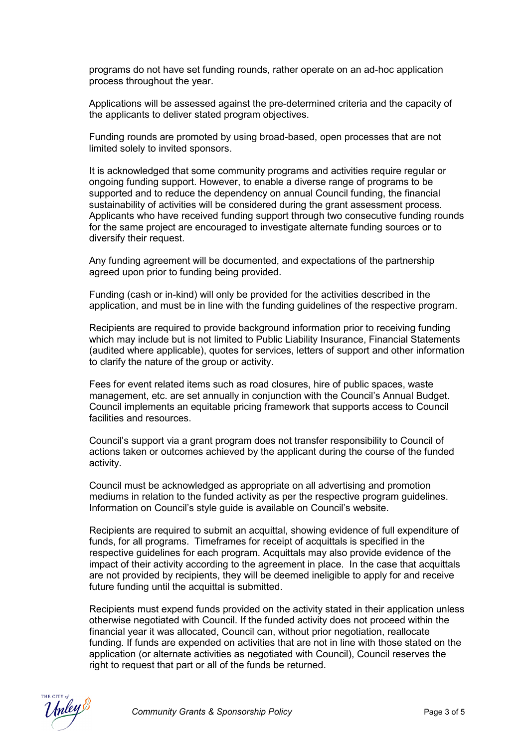programs do not have set funding rounds, rather operate on an ad-hoc application process throughout the year.

Applications will be assessed against the pre-determined criteria and the capacity of the applicants to deliver stated program objectives.

Funding rounds are promoted by using broad-based, open processes that are not limited solely to invited sponsors.

It is acknowledged that some community programs and activities require regular or ongoing funding support. However, to enable a diverse range of programs to be supported and to reduce the dependency on annual Council funding, the financial sustainability of activities will be considered during the grant assessment process. Applicants who have received funding support through two consecutive funding rounds for the same project are encouraged to investigate alternate funding sources or to diversify their request.

Any funding agreement will be documented, and expectations of the partnership agreed upon prior to funding being provided.

Funding (cash or in-kind) will only be provided for the activities described in the application, and must be in line with the funding guidelines of the respective program.

Recipients are required to provide background information prior to receiving funding which may include but is not limited to Public Liability Insurance, Financial Statements (audited where applicable), quotes for services, letters of support and other information to clarify the nature of the group or activity.

Fees for event related items such as road closures, hire of public spaces, waste management, etc. are set annually in conjunction with the Council's Annual Budget. Council implements an equitable pricing framework that supports access to Council facilities and resources.

Council's support via a grant program does not transfer responsibility to Council of actions taken or outcomes achieved by the applicant during the course of the funded activity.

Council must be acknowledged as appropriate on all advertising and promotion mediums in relation to the funded activity as per the respective program guidelines. Information on Council's style guide is available on Council's website.

Recipients are required to submit an acquittal, showing evidence of full expenditure of funds, for all programs. Timeframes for receipt of acquittals is specified in the respective guidelines for each program. Acquittals may also provide evidence of the impact of their activity according to the agreement in place. In the case that acquittals are not provided by recipients, they will be deemed ineligible to apply for and receive future funding until the acquittal is submitted.

Recipients must expend funds provided on the activity stated in their application unless otherwise negotiated with Council. If the funded activity does not proceed within the financial year it was allocated, Council can, without prior negotiation, reallocate funding. If funds are expended on activities that are not in line with those stated on the application (or alternate activities as negotiated with Council), Council reserves the right to request that part or all of the funds be returned.

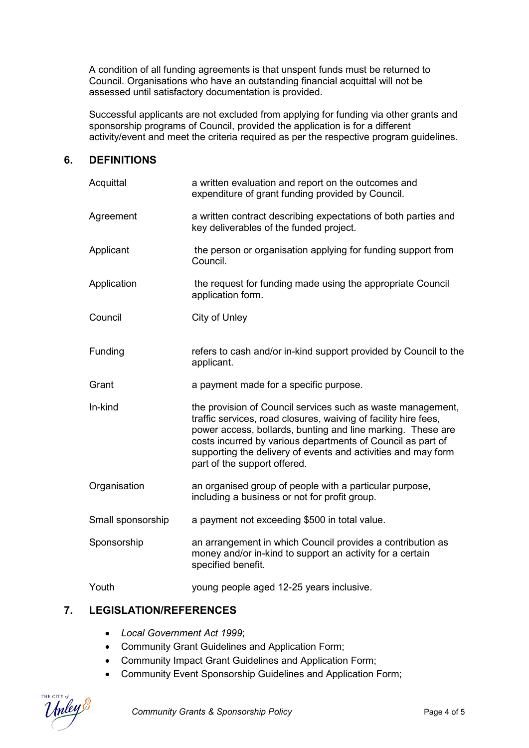A condition of all funding agreements is that unspent funds must be returned to Council. Organisations who have an outstanding financial acquittal will not be assessed until satisfactory documentation is provided.

Successful applicants are not excluded from applying for funding via other grants and sponsorship programs of Council, provided the application is for a different activity/event and meet the criteria required as per the respective program guidelines.

#### **6. DEFINITIONS**

| Acquittal         | a written evaluation and report on the outcomes and<br>expenditure of grant funding provided by Council.                                                                                                                                                                                                                                                      |  |
|-------------------|---------------------------------------------------------------------------------------------------------------------------------------------------------------------------------------------------------------------------------------------------------------------------------------------------------------------------------------------------------------|--|
| Agreement         | a written contract describing expectations of both parties and<br>key deliverables of the funded project.                                                                                                                                                                                                                                                     |  |
| Applicant         | the person or organisation applying for funding support from<br>Council.                                                                                                                                                                                                                                                                                      |  |
| Application       | the request for funding made using the appropriate Council<br>application form.                                                                                                                                                                                                                                                                               |  |
| Council           | City of Unley                                                                                                                                                                                                                                                                                                                                                 |  |
| Funding           | refers to cash and/or in-kind support provided by Council to the<br>applicant.                                                                                                                                                                                                                                                                                |  |
| Grant             | a payment made for a specific purpose.                                                                                                                                                                                                                                                                                                                        |  |
| In-kind           | the provision of Council services such as waste management,<br>traffic services, road closures, waiving of facility hire fees,<br>power access, bollards, bunting and line marking. These are<br>costs incurred by various departments of Council as part of<br>supporting the delivery of events and activities and may form<br>part of the support offered. |  |
| Organisation      | an organised group of people with a particular purpose,<br>including a business or not for profit group.                                                                                                                                                                                                                                                      |  |
| Small sponsorship | a payment not exceeding \$500 in total value.                                                                                                                                                                                                                                                                                                                 |  |
| Sponsorship       | an arrangement in which Council provides a contribution as<br>money and/or in-kind to support an activity for a certain<br>specified benefit.                                                                                                                                                                                                                 |  |
| Youth             | young people aged 12-25 years inclusive.                                                                                                                                                                                                                                                                                                                      |  |

## **7. LEGISLATION/REFERENCES**

- *Local Government Act 1999*;
- Community Grant Guidelines and Application Form;
- Community Impact Grant Guidelines and Application Form;
- Community Event Sponsorship Guidelines and Application Form;

**Community Grants & Sponsorship Policy** Policy **Page 4 of 5**